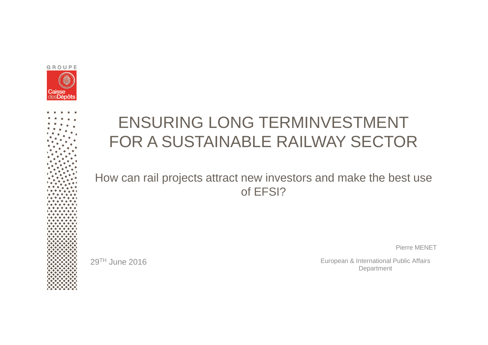



# ENSURING LONG TERMINVESTMENTFOR A SUSTAINABLE RAILWAY SECTOR

#### How can rail projects attract new investors and make the best use of EFSI?

29TH June 2016

Pierre MENET

European & International Public Affairs Department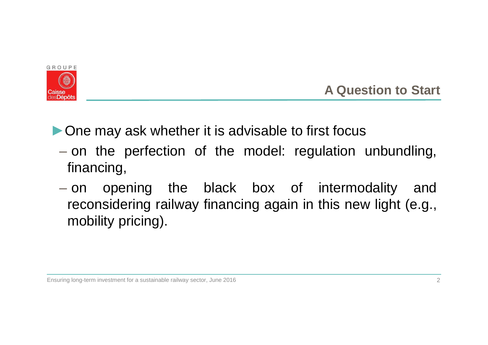

**A Question to Start**

▶ One may ask whether it is advisable to first focus

- – $-$  on the perfection of the model: regulation unbundling, financing,
- $-$  on opening the black box of intermodality and reconsidering railway financing again in this new light (e.g.,<br>reability prising) mobility pricing).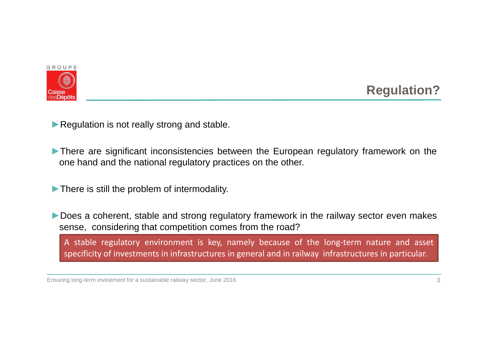

# **Regulation?**

▶ Regulation is not really strong and stable.

- ► There are significant inconsistencies between the European regulatory framework on the one hand and the national regulatory practices on the other.
- ►There is still the problem of intermodality.
- ► Does a coherent, stable and strong regulatory framework in the railway sector even makes sense, considering that competition comes from the road?

<sup>A</sup> stable regulatory environment is key, namely because of the long-term nature and asset specificity of investments in infrastructures in general and in railway infrastructures in particular.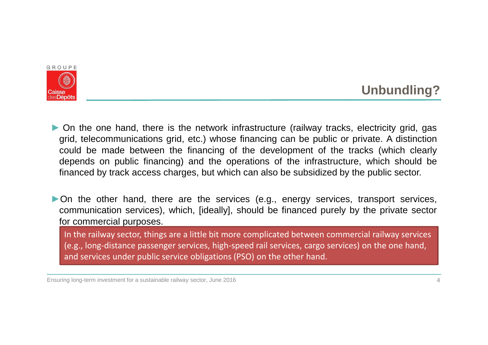

# **Unbundling?**

► On the one hand, there is the network infrastructure (railway tracks, electricity grid, gas<br>arid telecommunications grid etc.) whose financing can be public or private. A distinction grid, telecommunications grid, etc.) whose financing can be public or private. A distinction could be made between the financing of the development of the tracks (which clearly depends on public financing) and the operations of the infrastructure, which should befinanced by track access charges, but which can also be subsidized by the public sector.

►On the other hand, there are the services (e.g., energy services, transport services, communication services), which, [ideally], should be financed purely by the private sectorfor commercial purposes.

In the railway sector, things are a little bit more complicated between commercial railway services (e.g., long-distance passenger services, high-speed rail services, cargo services) on the one hand, and services under public service obligations (PSO) on the other hand.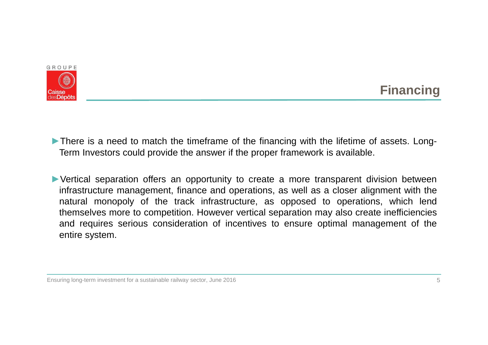

### **Financing**

► There is a need to match the timeframe of the financing with the lifetime of assets. Long-Term Investors could provide the answer if the proper framework is available.

►Vertical separation offers an opportunity to create <sup>a</sup> more transparent division between infrastructure management, finance and operations, as well as <sup>a</sup> closer alignment with the natural monopoly of the track infrastructure, as opposed to operations, which lend themselves more to competition. However vertical separation may also create inefficiencies and requires serious consideration of incentives to ensure optimal management of the entire system.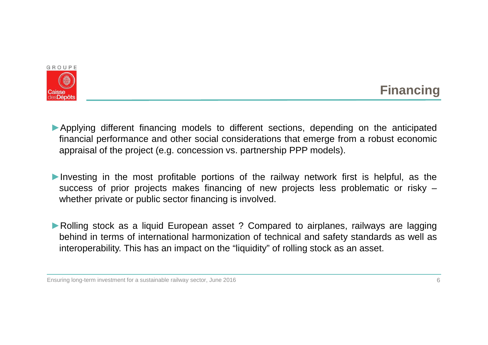

### **Financing**

- ►Applying different financing models to different sections, depending on the anticipated financial performance and other social considerations that emerge from <sup>a</sup> robust economicappraisal of the project (e.g. concession vs. partnership PPP models).
- ►Investing in the most profitable portions of the railway network first is helpful, as the success of prior projects makes financing of new projects less problematic or risky –whether private or public sector financing is involved.
- ► Rolling stock as a liquid European asset ? Compared to airplanes, railways are lagging behind in terms of international harmonization of technical and safety standards as well asinteroperability. This has an impact on the "liquidity" of rolling stock as an asset.